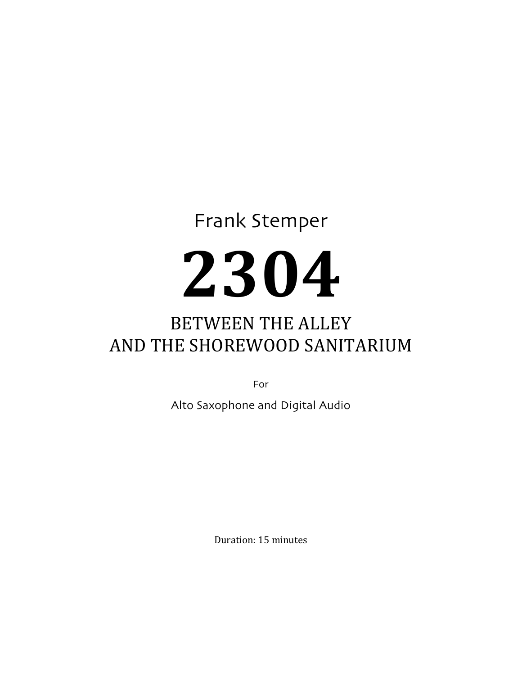# Frank Stemper

**2304**

## BETWEEN THE ALLEY AND THE SHOREWOOD SANITARIUM

For

Alto Saxophone and Digital Audio

Duration: 15 minutes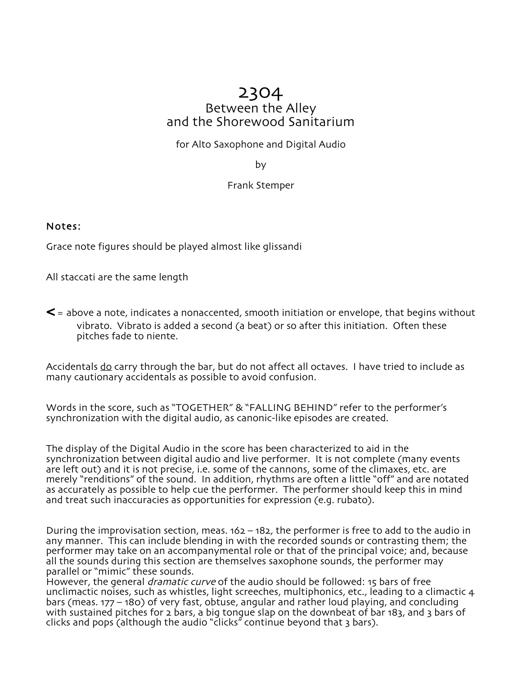## 2304 Between the Alley and the Shorewood Sanitarium

for Alto Saxophone and Digital Audio

by

### Frank Stemper

#### Notes:

Grace note figures should be played almost like glissandi

All staccati are the same length

 $\leq$  = above a note, indicates a nonaccented, smooth initiation or envelope, that begins without vibrato. Vibrato is added a second (a beat) or so after this initiation. Often these pitches fade to niente.

Accidentals do carry through the bar, but do not affect all octaves. I have tried to include as many cautionary accidentals as possible to avoid confusion.

Words in the score, such as "TOGETHER" & "FALLING BEHIND" refer to the performer's synchronization with the digital audio, as canonic-like episodes are created.

The display of the Digital Audio in the score has been characterized to aid in the synchronization between digital audio and live performer. It is not complete (many events are left out) and it is not precise, i.e. some of the cannons, some of the climaxes, etc. are merely "renditions" of the sound. In addition, rhythms are often a little "off" and are notated as accurately as possible to help cue the performer. The performer should keep this in mind and treat such inaccuracies as opportunities for expression (e.g. rubato).

During the improvisation section, meas. 162 – 182, the performer is free to add to the audio in any manner. This can include blending in with the recorded sounds or contrasting them; the performer may take on an accompanymental role or that of the principal voice; and, because all the sounds during this section are themselves saxophone sounds, the performer may parallel or "mimic" these sounds.

However, the general *dramatic curve* of the audio should be followed: 15 bars of free unclimactic noises, such as whistles, light screeches, multiphonics, etc., leading to a climactic 4 bars (meas. 177 – 180) of very fast, obtuse, angular and rather loud playing, and concluding with sustained pitches for 2 bars, a big tongue slap on the downbeat of bar 183, and 3 bars of clicks and pops (although the audio "clicks" continue beyond that 3 bars).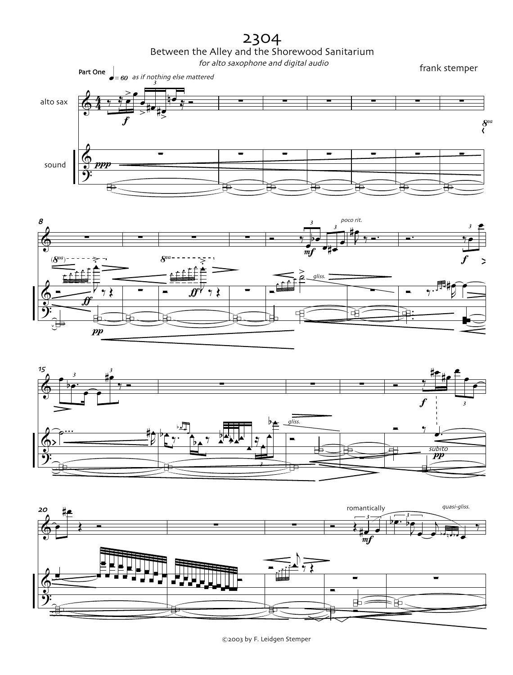2304 Between the Alley and the Shorewood Sanitarium



#

alto sax









©2003 by F. Leidgen Stemper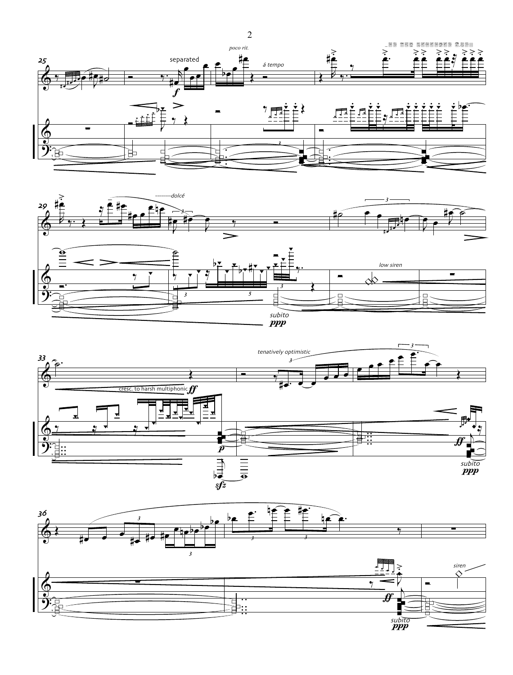





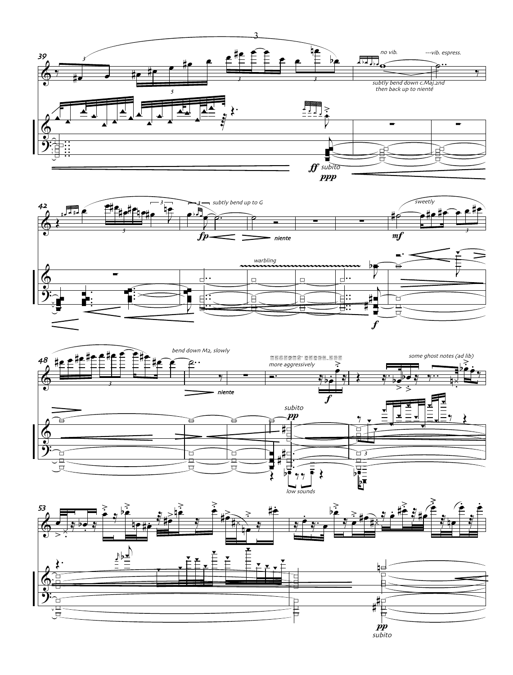





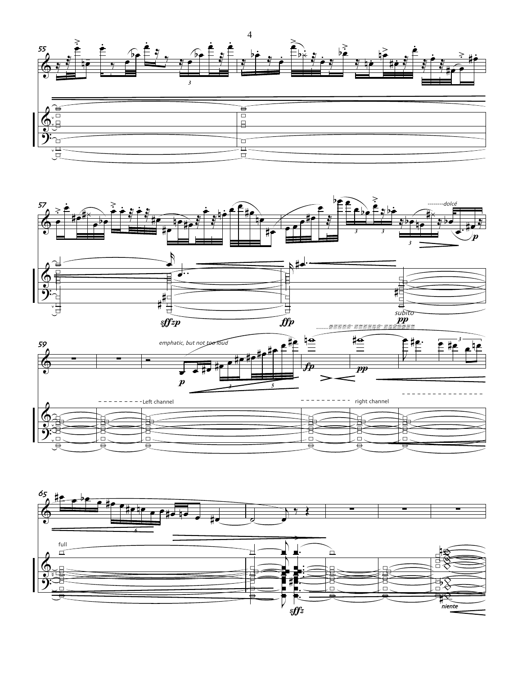







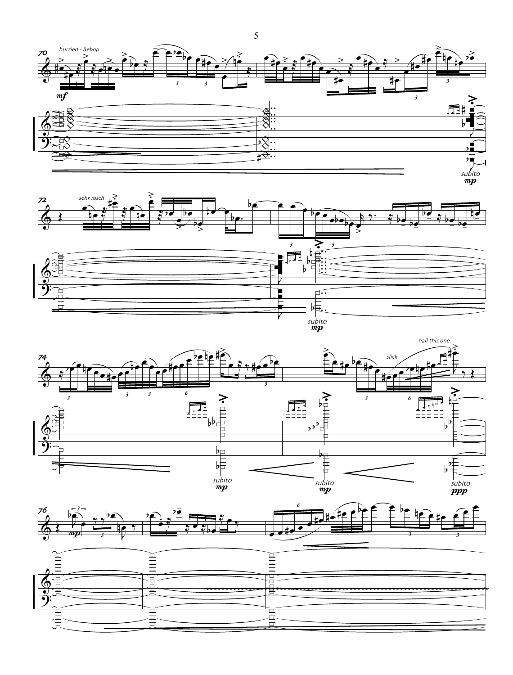





¬ ¬ ¬

¬ ¬ ¬ ¬ ¬ ¬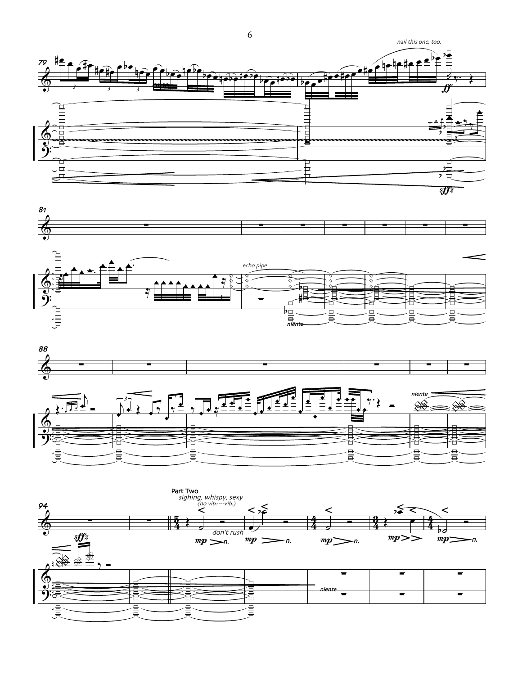





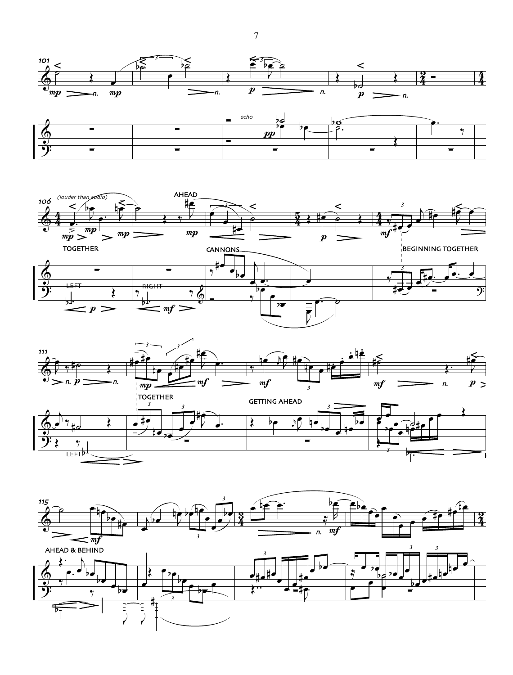





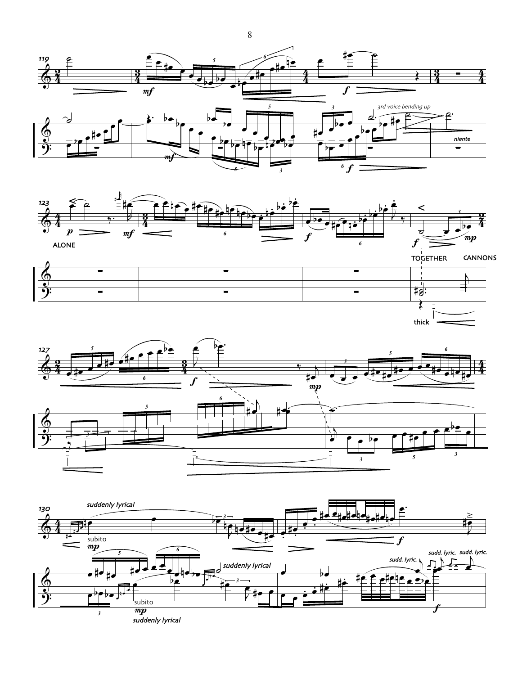



thick



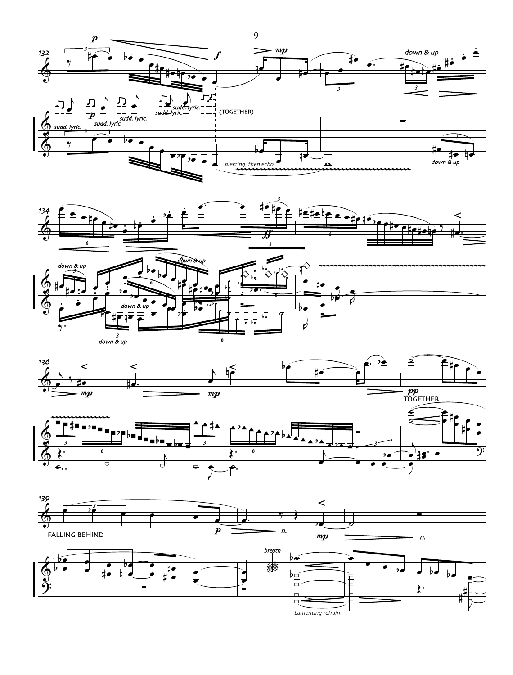





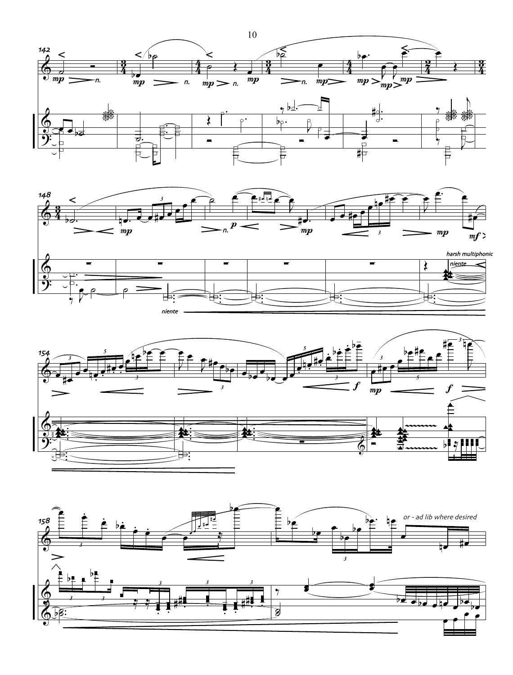



niente



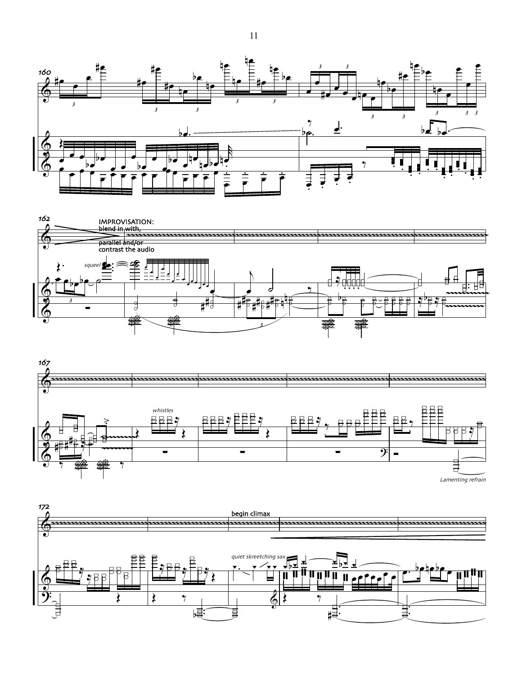





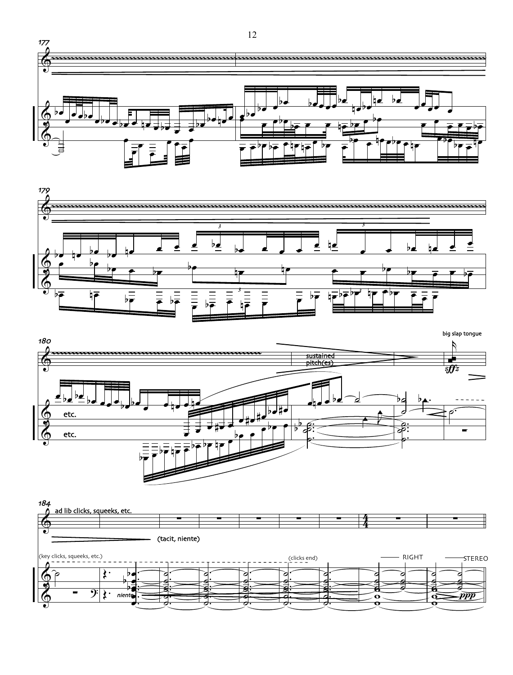





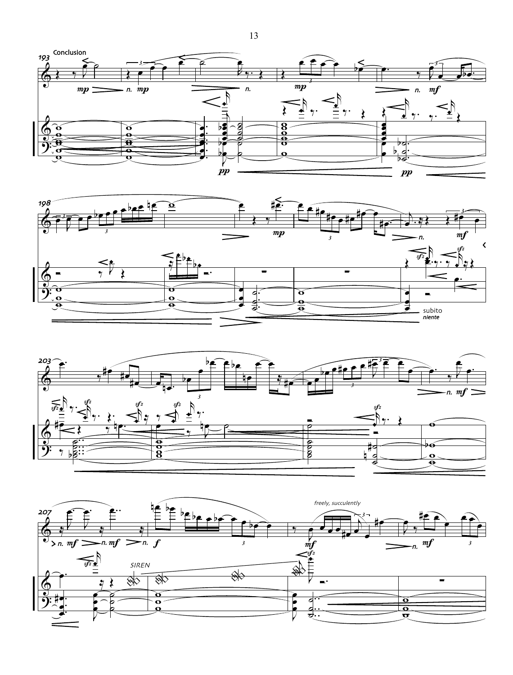





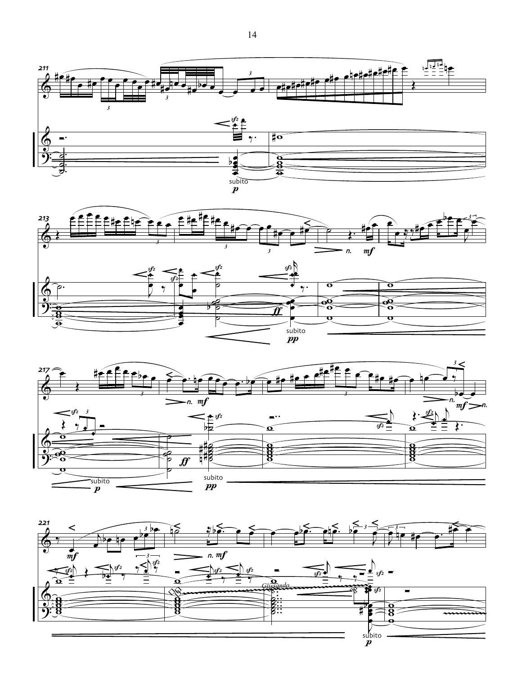